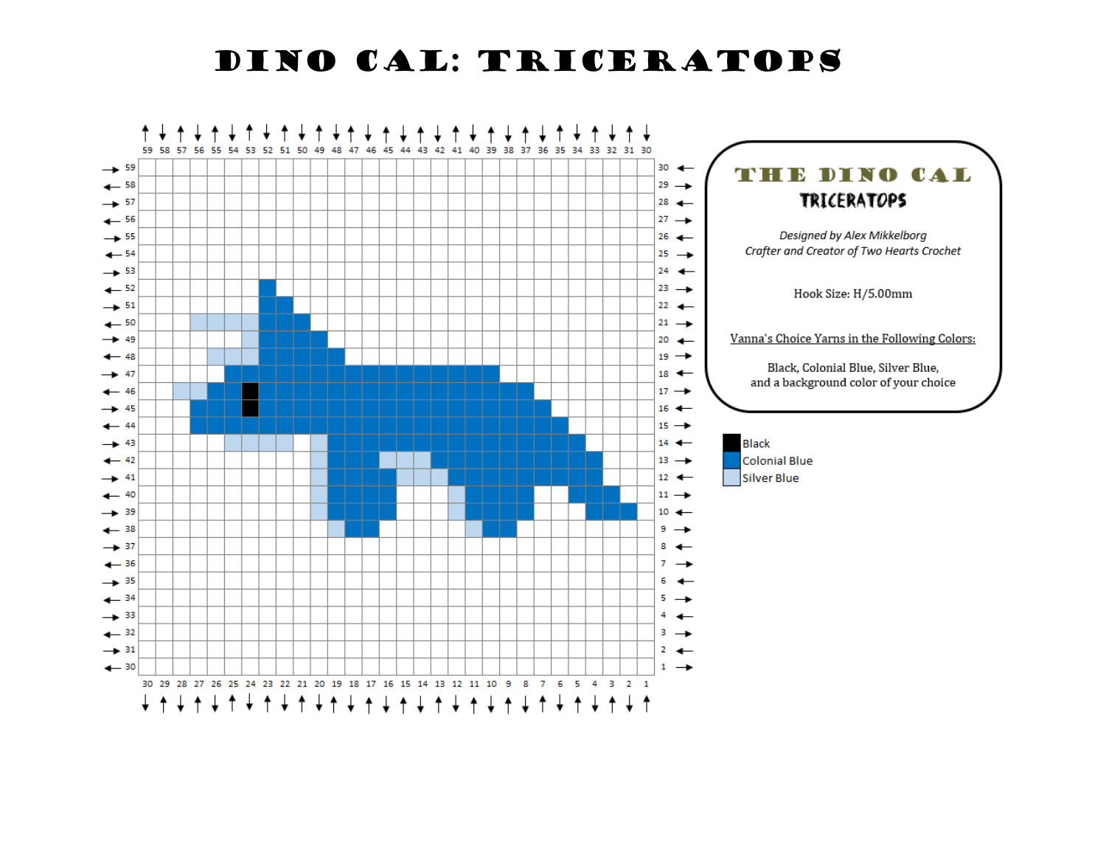Dino CAL: triceratops